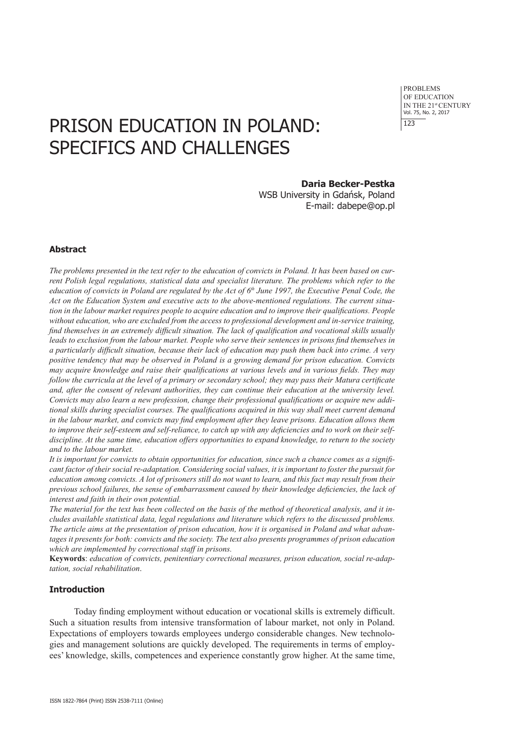# PRISON EDUCATION IN POLAND: SPECIFICS AND CHALLENGES

#### **Daria Becker-Pestka**

WSB University in Gdańsk, Poland E-mail: dabepe@op.pl

#### **Abstract**

*The problems presented in the text refer to the education of convicts in Poland. It has been based on current Polish legal regulations, statistical data and specialist literature. The problems which refer to the education of convicts in Poland are regulated by the Act of*  $6<sup>th</sup>$  *June 1997, the Executive Penal Code, the Act on the Education System and executive acts to the above-mentioned regulations. The current situation in the labour market requires people to acquire education and to improve their qualifications. People without education, who are excluded from the access to professional development and in-service training, find themselves in an extremely difficult situation. The lack of qualification and vocational skills usually leads to exclusion from the labour market. People who serve their sentences in prisons find themselves in a particularly difficult situation, because their lack of education may push them back into crime. A very positive tendency that may be observed in Poland is a growing demand for prison education. Convicts may acquire knowledge and raise their qualifications at various levels and in various fields. They may follow the curricula at the level of a primary or secondary school; they may pass their Matura certificate and, after the consent of relevant authorities, they can continue their education at the university level. Convicts may also learn a new profession, change their professional qualifications or acquire new additional skills during specialist courses. The qualifications acquired in this way shall meet current demand in the labour market, and convicts may find employment after they leave prisons. Education allows them to improve their self-esteem and self-reliance, to catch up with any deficiencies and to work on their selfdiscipline. At the same time, education offers opportunities to expand knowledge, to return to the society and to the labour market.* 

*It is important for convicts to obtain opportunities for education, since such a chance comes as a significant factor of their social re-adaptation. Considering social values, it is important to foster the pursuit for education among convicts. A lot of prisoners still do not want to learn, and this fact may result from their previous school failures, the sense of embarrassment caused by their knowledge deficiencies, the lack of interest and faith in their own potential.* 

*The material for the text has been collected on the basis of the method of theoretical analysis, and it includes available statistical data, legal regulations and literature which refers to the discussed problems. The article aims at the presentation of prison education, how it is organised in Poland and what advantages it presents for both: convicts and the society. The text also presents programmes of prison education which are implemented by correctional staff in prisons.* 

**Keywords**: *education of convicts, penitentiary correctional measures, prison education, social re-adaptation, social rehabilitation*.

## **Introduction**

Today finding employment without education or vocational skills is extremely difficult. Such a situation results from intensive transformation of labour market, not only in Poland. Expectations of employers towards employees undergo considerable changes. New technologies and management solutions are quickly developed. The requirements in terms of employees' knowledge, skills, competences and experience constantly grow higher. At the same time,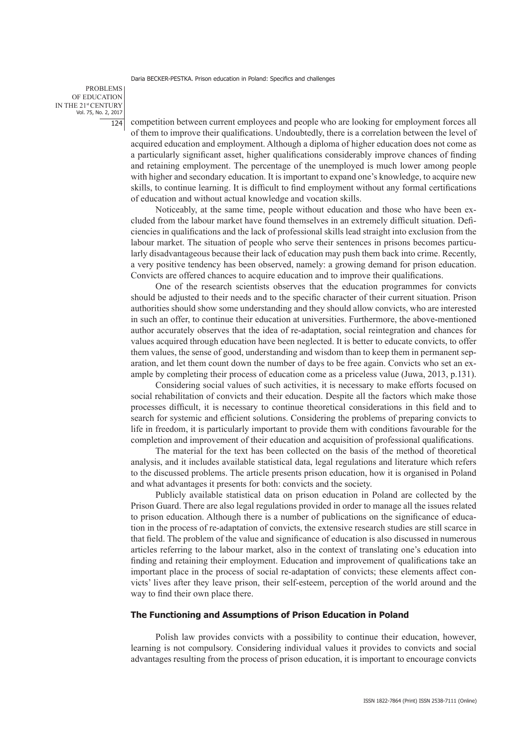PROBLEMS OF EDUCATION IN THE 21st CENTURY Vol. 75, No. 2, 2017  $124$ 

competition between current employees and people who are looking for employment forces all of them to improve their qualifications. Undoubtedly, there is a correlation between the level of acquired education and employment. Although a diploma of higher education does not come as a particularly significant asset, higher qualifications considerably improve chances of finding and retaining employment. The percentage of the unemployed is much lower among people with higher and secondary education. It is important to expand one's knowledge, to acquire new skills, to continue learning. It is difficult to find employment without any formal certifications of education and without actual knowledge and vocation skills.

Noticeably, at the same time, people without education and those who have been excluded from the labour market have found themselves in an extremely difficult situation. Deficiencies in qualifications and the lack of professional skills lead straight into exclusion from the labour market. The situation of people who serve their sentences in prisons becomes particularly disadvantageous because their lack of education may push them back into crime. Recently, a very positive tendency has been observed, namely: a growing demand for prison education. Convicts are offered chances to acquire education and to improve their qualifications.

One of the research scientists observes that the education programmes for convicts should be adjusted to their needs and to the specific character of their current situation. Prison authorities should show some understanding and they should allow convicts, who are interested in such an offer, to continue their education at universities. Furthermore, the above-mentioned author accurately observes that the idea of re-adaptation, social reintegration and chances for values acquired through education have been neglected. It is better to educate convicts, to offer them values, the sense of good, understanding and wisdom than to keep them in permanent separation, and let them count down the number of days to be free again. Convicts who set an example by completing their process of education come as a priceless value (Juwa, 2013, p.131).

Considering social values of such activities, it is necessary to make efforts focused on social rehabilitation of convicts and their education. Despite all the factors which make those processes difficult, it is necessary to continue theoretical considerations in this field and to search for systemic and efficient solutions. Considering the problems of preparing convicts to life in freedom, it is particularly important to provide them with conditions favourable for the completion and improvement of their education and acquisition of professional qualifications.

The material for the text has been collected on the basis of the method of theoretical analysis, and it includes available statistical data, legal regulations and literature which refers to the discussed problems. The article presents prison education, how it is organised in Poland and what advantages it presents for both: convicts and the society.

Publicly available statistical data on prison education in Poland are collected by the Prison Guard. There are also legal regulations provided in order to manage all the issues related to prison education. Although there is a number of publications on the significance of education in the process of re-adaptation of convicts, the extensive research studies are still scarce in that field. The problem of the value and significance of education is also discussed in numerous articles referring to the labour market, also in the context of translating one's education into finding and retaining their employment. Education and improvement of qualifications take an important place in the process of social re-adaptation of convicts; these elements affect convicts' lives after they leave prison, their self-esteem, perception of the world around and the way to find their own place there.

## **The Functioning and Assumptions of Prison Education in Poland**

Polish law provides convicts with a possibility to continue their education, however, learning is not compulsory. Considering individual values it provides to convicts and social advantages resulting from the process of prison education, it is important to encourage convicts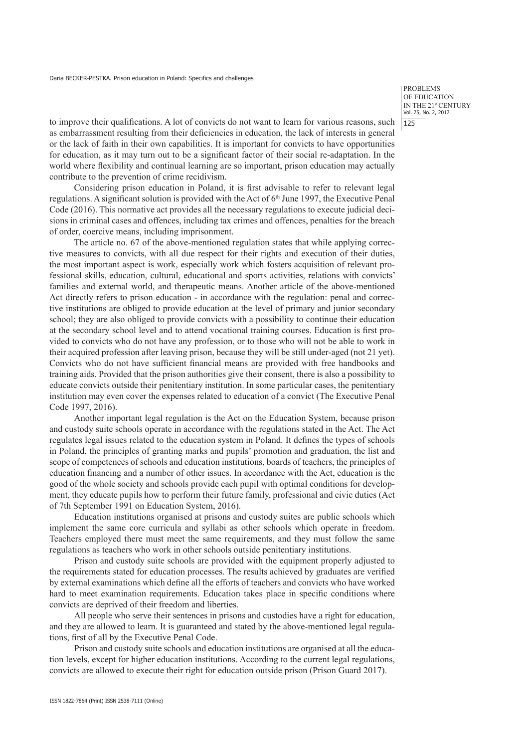PROBLEMS OF EDUCATION IN THE 21st CENTURY Vol. 75, No. 2, 2017 125

to improve their qualifications. A lot of convicts do not want to learn for various reasons, such as embarrassment resulting from their deficiencies in education, the lack of interests in general or the lack of faith in their own capabilities. It is important for convicts to have opportunities for education, as it may turn out to be a significant factor of their social re-adaptation. In the world where flexibility and continual learning are so important, prison education may actually contribute to the prevention of crime recidivism.

Considering prison education in Poland, it is first advisable to refer to relevant legal regulations. A significant solution is provided with the Act of 6<sup>th</sup> June 1997, the Executive Penal Code (2016). This normative act provides all the necessary regulations to execute judicial decisions in criminal cases and offences, including tax crimes and offences, penalties for the breach of order, coercive means, including imprisonment.

The article no. 67 of the above-mentioned regulation states that while applying corrective measures to convicts, with all due respect for their rights and execution of their duties, the most important aspect is work, especially work which fosters acquisition of relevant professional skills, education, cultural, educational and sports activities, relations with convicts' families and external world, and therapeutic means. Another article of the above-mentioned Act directly refers to prison education - in accordance with the regulation: penal and corrective institutions are obliged to provide education at the level of primary and junior secondary school; they are also obliged to provide convicts with a possibility to continue their education at the secondary school level and to attend vocational training courses. Education is first provided to convicts who do not have any profession, or to those who will not be able to work in their acquired profession after leaving prison, because they will be still under-aged (not 21 yet). Convicts who do not have sufficient financial means are provided with free handbooks and training aids. Provided that the prison authorities give their consent, there is also a possibility to educate convicts outside their penitentiary institution. In some particular cases, the penitentiary institution may even cover the expenses related to education of a convict (The Executive Penal Code 1997, 2016).

Another important legal regulation is the Act on the Education System, because prison and custody suite schools operate in accordance with the regulations stated in the Act. The Act regulates legal issues related to the education system in Poland. It defines the types of schools in Poland, the principles of granting marks and pupils' promotion and graduation, the list and scope of competences of schools and education institutions, boards of teachers, the principles of education financing and a number of other issues. In accordance with the Act, education is the good of the whole society and schools provide each pupil with optimal conditions for development, they educate pupils how to perform their future family, professional and civic duties (Act of 7th September 1991 on Education System, 2016).

Education institutions organised at prisons and custody suites are public schools which implement the same core curricula and syllabi as other schools which operate in freedom. Teachers employed there must meet the same requirements, and they must follow the same regulations as teachers who work in other schools outside penitentiary institutions.

Prison and custody suite schools are provided with the equipment properly adjusted to the requirements stated for education processes. The results achieved by graduates are verified by external examinations which define all the efforts of teachers and convicts who have worked hard to meet examination requirements. Education takes place in specific conditions where convicts are deprived of their freedom and liberties.

All people who serve their sentences in prisons and custodies have a right for education, and they are allowed to learn. It is guaranteed and stated by the above-mentioned legal regulations, first of all by the Executive Penal Code.

Prison and custody suite schools and education institutions are organised at all the education levels, except for higher education institutions. According to the current legal regulations, convicts are allowed to execute their right for education outside prison (Prison Guard 2017).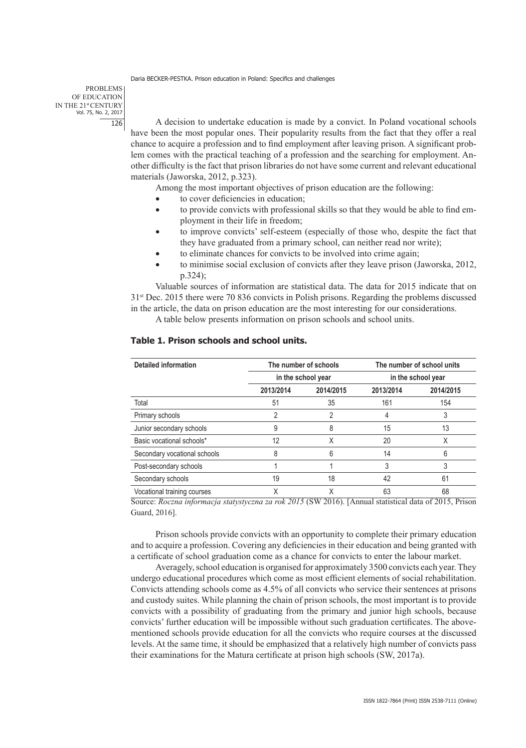PROBLEMS OF EDUCATION IN THE 21st CENTURY Vol. 75, No. 2, 2017 126

A decision to undertake education is made by a convict. In Poland vocational schools have been the most popular ones. Their popularity results from the fact that they offer a real chance to acquire a profession and to find employment after leaving prison. A significant problem comes with the practical teaching of a profession and the searching for employment. Another difficulty is the fact that prison libraries do not have some current and relevant educational materials (Jaworska, 2012, p.323).

Among the most important objectives of prison education are the following:

- to cover deficiencies in education;
- to provide convicts with professional skills so that they would be able to find employment in their life in freedom;
- to improve convicts' self-esteem (especially of those who, despite the fact that they have graduated from a primary school, can neither read nor write);
- to eliminate chances for convicts to be involved into crime again;
- to minimise social exclusion of convicts after they leave prison (Jaworska, 2012, p.324);

Valuable sources of information are statistical data. The data for 2015 indicate that on 31st Dec. 2015 there were 70 836 convicts in Polish prisons. Regarding the problems discussed in the article, the data on prison education are the most interesting for our considerations.

A table below presents information on prison schools and school units.

| <b>Detailed information</b>  | The number of schools<br>in the school year |           | The number of school units<br>in the school year |           |
|------------------------------|---------------------------------------------|-----------|--------------------------------------------------|-----------|
|                              |                                             |           |                                                  |           |
|                              | 2013/2014                                   | 2014/2015 | 2013/2014                                        | 2014/2015 |
| Total                        | 51                                          | 35        | 161                                              | 154       |
| Primary schools              | 2                                           | 2         |                                                  | 3         |
| Junior secondary schools     | 9                                           | 8         | 15                                               | 13        |
| Basic vocational schools*    | 12                                          | χ         | 20                                               | X         |
| Secondary vocational schools | 8                                           | 6         | 14                                               | 6         |
| Post-secondary schools       |                                             |           |                                                  | 3         |
| Secondary schools            | 19                                          | 18        | 42                                               | 61        |
| Vocational training courses  | Χ                                           | Χ         | 63                                               | 68        |

# **Table 1. Prison schools and school units.**

Source: *Roczna informacja statystyczna za rok 2015* (SW 2016). [Annual statistical data of 2015, Prison Guard, 2016].

Prison schools provide convicts with an opportunity to complete their primary education and to acquire a profession. Covering any deficiencies in their education and being granted with a certificate of school graduation come as a chance for convicts to enter the labour market.

Averagely, school education is organised for approximately 3500 convicts each year. They undergo educational procedures which come as most efficient elements of social rehabilitation. Convicts attending schools come as 4.5% of all convicts who service their sentences at prisons and custody suites. While planning the chain of prison schools, the most important is to provide convicts with a possibility of graduating from the primary and junior high schools, because convicts' further education will be impossible without such graduation certificates. The abovementioned schools provide education for all the convicts who require courses at the discussed levels. At the same time, it should be emphasized that a relatively high number of convicts pass their examinations for the Matura certificate at prison high schools (SW, 2017a).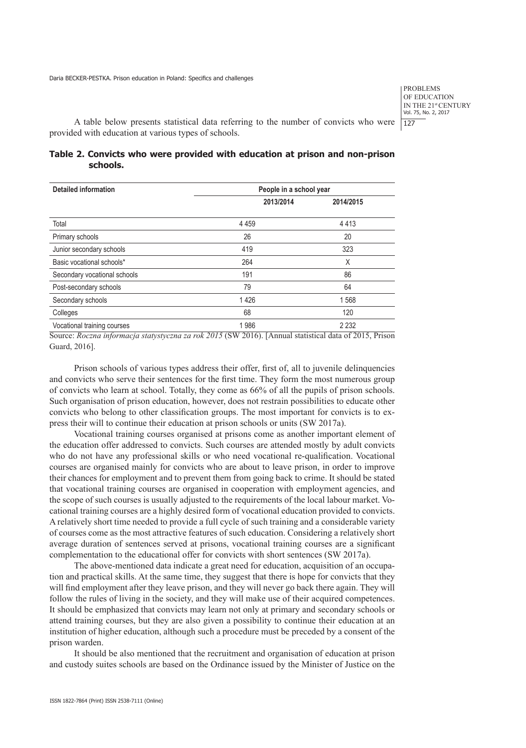A table below presents statistical data referring to the number of convicts who were provided with education at various types of schools.

# **Table 2. Convicts who were provided with education at prison and non-prison schools.**

| <b>Detailed information</b>  | People in a school year |           |  |  |
|------------------------------|-------------------------|-----------|--|--|
|                              | 2013/2014               | 2014/2015 |  |  |
| Total                        | 4 4 5 9                 | 4413      |  |  |
| Primary schools              | 26                      | 20        |  |  |
| Junior secondary schools     | 419                     | 323       |  |  |
| Basic vocational schools*    | 264                     | X         |  |  |
| Secondary vocational schools | 191                     | 86        |  |  |
| Post-secondary schools       | 79                      | 64        |  |  |
| Secondary schools            | 1426                    | 1568      |  |  |
| Colleges                     | 68                      | 120       |  |  |
| Vocational training courses  | 1986                    | 2 2 3 2   |  |  |

Source: *Roczna informacja statystyczna za rok 2015* (SW 2016). [Annual statistical data of 2015, Prison Guard, 2016].

Prison schools of various types address their offer, first of, all to juvenile delinquencies and convicts who serve their sentences for the first time. They form the most numerous group of convicts who learn at school. Totally, they come as 66% of all the pupils of prison schools. Such organisation of prison education, however, does not restrain possibilities to educate other convicts who belong to other classification groups. The most important for convicts is to express their will to continue their education at prison schools or units (SW 2017a).

Vocational training courses organised at prisons come as another important element of the education offer addressed to convicts. Such courses are attended mostly by adult convicts who do not have any professional skills or who need vocational re-qualification. Vocational courses are organised mainly for convicts who are about to leave prison, in order to improve their chances for employment and to prevent them from going back to crime. It should be stated that vocational training courses are organised in cooperation with employment agencies, and the scope of such courses is usually adjusted to the requirements of the local labour market. Vocational training courses are a highly desired form of vocational education provided to convicts. A relatively short time needed to provide a full cycle of such training and a considerable variety of courses come as the most attractive features of such education. Considering a relatively short average duration of sentences served at prisons, vocational training courses are a significant complementation to the educational offer for convicts with short sentences (SW 2017a).

The above-mentioned data indicate a great need for education, acquisition of an occupation and practical skills. At the same time, they suggest that there is hope for convicts that they will find employment after they leave prison, and they will never go back there again. They will follow the rules of living in the society, and they will make use of their acquired competences. It should be emphasized that convicts may learn not only at primary and secondary schools or attend training courses, but they are also given a possibility to continue their education at an institution of higher education, although such a procedure must be preceded by a consent of the prison warden.

It should be also mentioned that the recruitment and organisation of education at prison and custody suites schools are based on the Ordinance issued by the Minister of Justice on the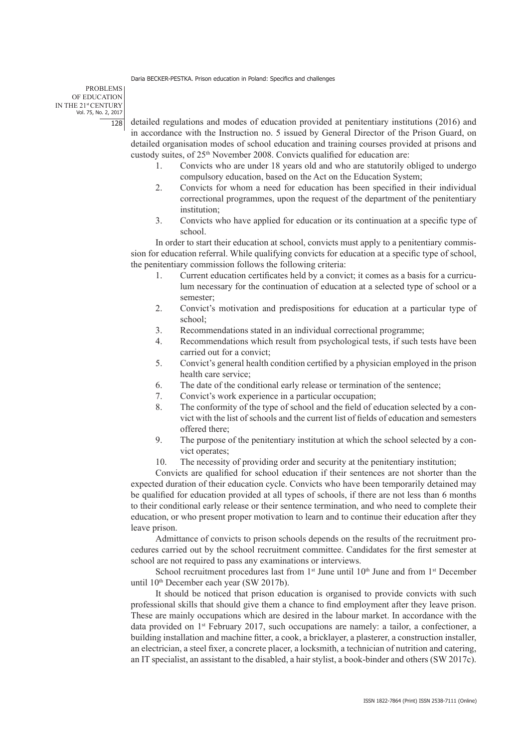PROBLEMS OF EDUCATION IN THE 21st CENTURY Vol. 75, No. 2, 2017  $128$ 

detailed regulations and modes of education provided at penitentiary institutions (2016) and in accordance with the Instruction no. 5 issued by General Director of the Prison Guard, on detailed organisation modes of school education and training courses provided at prisons and custody suites, of 25th November 2008. Convicts qualified for education are:

- 1. Convicts who are under 18 years old and who are statutorily obliged to undergo compulsory education, based on the Act on the Education System;
- 2. Convicts for whom a need for education has been specified in their individual correctional programmes, upon the request of the department of the penitentiary institution;
- 3. Convicts who have applied for education or its continuation at a specific type of school.

In order to start their education at school, convicts must apply to a penitentiary commission for education referral. While qualifying convicts for education at a specific type of school, the penitentiary commission follows the following criteria:

- 1. Current education certificates held by a convict; it comes as a basis for a curriculum necessary for the continuation of education at a selected type of school or a semester;
- 2. Convict's motivation and predispositions for education at a particular type of school;
- 3. Recommendations stated in an individual correctional programme;
- 4. Recommendations which result from psychological tests, if such tests have been carried out for a convict;
- 5. Convict's general health condition certified by a physician employed in the prison health care service;
- 6. The date of the conditional early release or termination of the sentence;
- 7. Convict's work experience in a particular occupation;
- 8. The conformity of the type of school and the field of education selected by a convict with the list of schools and the current list of fields of education and semesters offered there;
- 9. The purpose of the penitentiary institution at which the school selected by a convict operates;
- 10. The necessity of providing order and security at the penitentiary institution;

Convicts are qualified for school education if their sentences are not shorter than the expected duration of their education cycle. Convicts who have been temporarily detained may be qualified for education provided at all types of schools, if there are not less than 6 months to their conditional early release or their sentence termination, and who need to complete their education, or who present proper motivation to learn and to continue their education after they leave prison.

Admittance of convicts to prison schools depends on the results of the recruitment procedures carried out by the school recruitment committee. Candidates for the first semester at school are not required to pass any examinations or interviews.

School recruitment procedures last from  $1<sup>st</sup>$  June until  $10<sup>th</sup>$  June and from  $1<sup>st</sup>$  December until 10th December each year (SW 2017b).

It should be noticed that prison education is organised to provide convicts with such professional skills that should give them a chance to find employment after they leave prison. These are mainly occupations which are desired in the labour market. In accordance with the data provided on 1st February 2017, such occupations are namely: a tailor, a confectioner, a building installation and machine fitter, a cook, a bricklayer, a plasterer, a construction installer, an electrician, a steel fixer, a concrete placer, a locksmith, a technician of nutrition and catering, an IT specialist, an assistant to the disabled, a hair stylist, a book-binder and others (SW 2017c).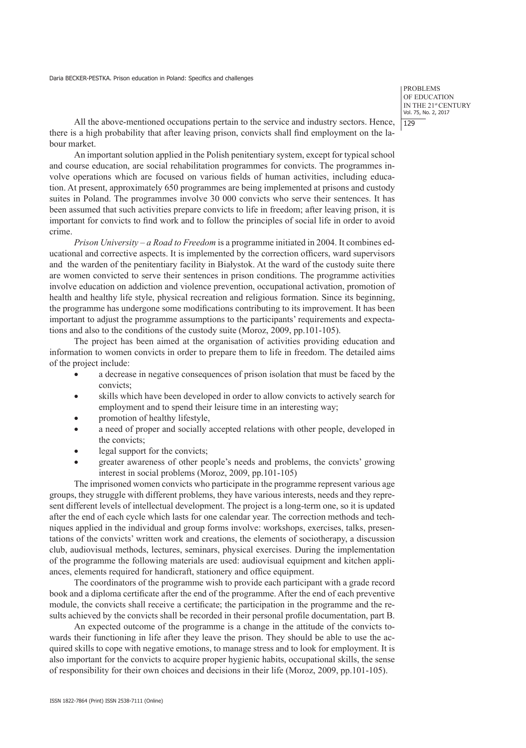All the above-mentioned occupations pertain to the service and industry sectors. Hence, there is a high probability that after leaving prison, convicts shall find employment on the labour market.

An important solution applied in the Polish penitentiary system, except for typical school and course education, are social rehabilitation programmes for convicts. The programmes involve operations which are focused on various fields of human activities, including education. At present, approximately 650 programmes are being implemented at prisons and custody suites in Poland. The programmes involve 30 000 convicts who serve their sentences. It has been assumed that such activities prepare convicts to life in freedom; after leaving prison, it is important for convicts to find work and to follow the principles of social life in order to avoid crime.

*Prison University – a Road to Freedom* is a programme initiated in 2004. It combines educational and corrective aspects. It is implemented by the correction officers, ward supervisors and the warden of the penitentiary facility in Białystok. At the ward of the custody suite there are women convicted to serve their sentences in prison conditions. The programme activities involve education on addiction and violence prevention, occupational activation, promotion of health and healthy life style, physical recreation and religious formation. Since its beginning, the programme has undergone some modifications contributing to its improvement. It has been important to adjust the programme assumptions to the participants' requirements and expectations and also to the conditions of the custody suite (Moroz, 2009, pp.101-105).

The project has been aimed at the organisation of activities providing education and information to women convicts in order to prepare them to life in freedom. The detailed aims of the project include:

- a decrease in negative consequences of prison isolation that must be faced by the convicts;
- skills which have been developed in order to allow convicts to actively search for employment and to spend their leisure time in an interesting way;
- promotion of healthy lifestyle,
- a need of proper and socially accepted relations with other people, developed in the convicts;
- legal support for the convicts;
- greater awareness of other people's needs and problems, the convicts' growing interest in social problems (Moroz, 2009, pp.101-105)

The imprisoned women convicts who participate in the programme represent various age groups, they struggle with different problems, they have various interests, needs and they represent different levels of intellectual development. The project is a long-term one, so it is updated after the end of each cycle which lasts for one calendar year. The correction methods and techniques applied in the individual and group forms involve: workshops, exercises, talks, presentations of the convicts' written work and creations, the elements of sociotherapy, a discussion club, audiovisual methods, lectures, seminars, physical exercises. During the implementation of the programme the following materials are used: audiovisual equipment and kitchen appliances, elements required for handicraft, stationery and office equipment.

The coordinators of the programme wish to provide each participant with a grade record book and a diploma certificate after the end of the programme. After the end of each preventive module, the convicts shall receive a certificate; the participation in the programme and the results achieved by the convicts shall be recorded in their personal profile documentation, part B.

An expected outcome of the programme is a change in the attitude of the convicts towards their functioning in life after they leave the prison. They should be able to use the acquired skills to cope with negative emotions, to manage stress and to look for employment. It is also important for the convicts to acquire proper hygienic habits, occupational skills, the sense of responsibility for their own choices and decisions in their life (Moroz, 2009, pp.101-105).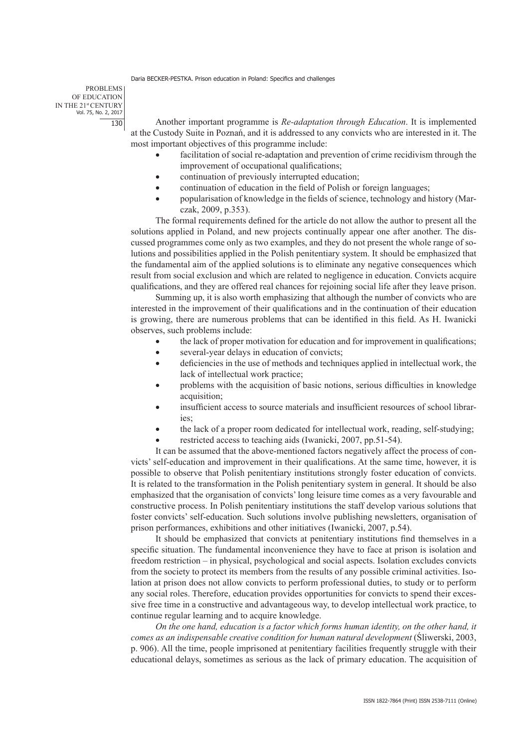PROBLEMS OF EDUCATION IN THE 21st CENTURY Vol. 75, No. 2, 2017 130

Another important programme is *Re-adaptation through Education*. It is implemented at the Custody Suite in Poznań, and it is addressed to any convicts who are interested in it. The most important objectives of this programme include:

- facilitation of social re-adaptation and prevention of crime recidivism through the improvement of occupational qualifications;
- continuation of previously interrupted education;
- continuation of education in the field of Polish or foreign languages;
- popularisation of knowledge in the fields of science, technology and history (Marczak, 2009, p.353).

The formal requirements defined for the article do not allow the author to present all the solutions applied in Poland, and new projects continually appear one after another. The discussed programmes come only as two examples, and they do not present the whole range of solutions and possibilities applied in the Polish penitentiary system. It should be emphasized that the fundamental aim of the applied solutions is to eliminate any negative consequences which result from social exclusion and which are related to negligence in education. Convicts acquire qualifications, and they are offered real chances for rejoining social life after they leave prison.

Summing up, it is also worth emphasizing that although the number of convicts who are interested in the improvement of their qualifications and in the continuation of their education is growing, there are numerous problems that can be identified in this field. As H. Iwanicki observes, such problems include:

- the lack of proper motivation for education and for improvement in qualifications;
- several-year delays in education of convicts;
- deficiencies in the use of methods and techniques applied in intellectual work, the lack of intellectual work practice;
- problems with the acquisition of basic notions, serious difficulties in knowledge acquisition;
- insufficient access to source materials and insufficient resources of school libraries;
- the lack of a proper room dedicated for intellectual work, reading, self-studying;
- restricted access to teaching aids (Iwanicki, 2007, pp.51-54).

It can be assumed that the above-mentioned factors negatively affect the process of convicts' self-education and improvement in their qualifications. At the same time, however, it is possible to observe that Polish penitentiary institutions strongly foster education of convicts. It is related to the transformation in the Polish penitentiary system in general. It should be also emphasized that the organisation of convicts' long leisure time comes as a very favourable and constructive process. In Polish penitentiary institutions the staff develop various solutions that foster convicts' self-education. Such solutions involve publishing newsletters, organisation of prison performances, exhibitions and other initiatives (Iwanicki, 2007, p.54).

It should be emphasized that convicts at penitentiary institutions find themselves in a specific situation. The fundamental inconvenience they have to face at prison is isolation and freedom restriction – in physical, psychological and social aspects. Isolation excludes convicts from the society to protect its members from the results of any possible criminal activities. Isolation at prison does not allow convicts to perform professional duties, to study or to perform any social roles. Therefore, education provides opportunities for convicts to spend their excessive free time in a constructive and advantageous way, to develop intellectual work practice, to continue regular learning and to acquire knowledge.

*On the one hand, education is a factor which forms human identity, on the other hand, it comes as an indispensable creative condition for human natural development* (Śliwerski, 2003, p. 906). All the time, people imprisoned at penitentiary facilities frequently struggle with their educational delays, sometimes as serious as the lack of primary education. The acquisition of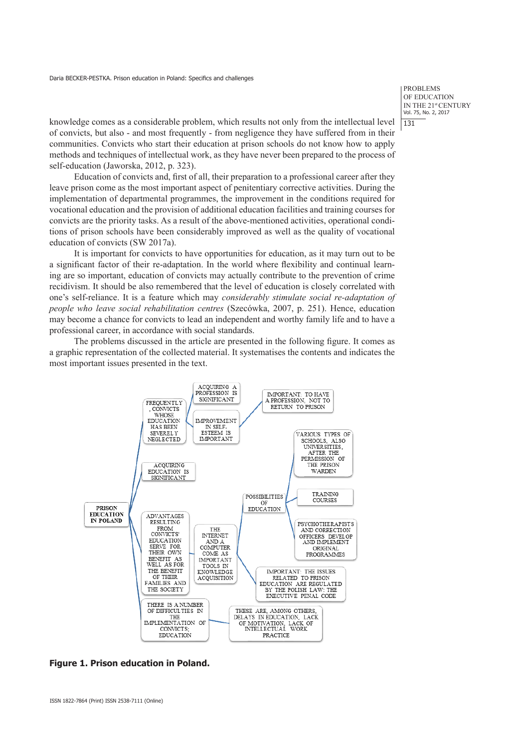PROBLEMS OF EDUCATION IN THE 21st CENTURY Vol. 75, No. 2, 2017 131

knowledge comes as a considerable problem, which results not only from the intellectual level of convicts, but also - and most frequently - from negligence they have suffered from in their communities. Convicts who start their education at prison schools do not know how to apply methods and techniques of intellectual work, as they have never been prepared to the process of self-education (Jaworska, 2012, p. 323).

Education of convicts and, first of all, their preparation to a professional career after they leave prison come as the most important aspect of penitentiary corrective activities. During the implementation of departmental programmes, the improvement in the conditions required for vocational education and the provision of additional education facilities and training courses for convicts are the priority tasks. As a result of the above-mentioned activities, operational conditions of prison schools have been considerably improved as well as the quality of vocational education of convicts (SW 2017a).

It is important for convicts to have opportunities for education, as it may turn out to be a significant factor of their re-adaptation. In the world where flexibility and continual learning are so important, education of convicts may actually contribute to the prevention of crime recidivism. It should be also remembered that the level of education is closely correlated with one's self-reliance. It is a feature which may *considerably stimulate social re-adaptation of people who leave social rehabilitation centres* (Szecówka, 2007, p. 251). Hence, education may become a chance for convicts to lead an independent and worthy family life and to have a professional career, in accordance with social standards.

The problems discussed in the article are presented in the following figure. It comes as a graphic representation of the collected material. It systematises the contents and indicates the most important issues presented in the text.



**Figure 1. Prison education in Poland.**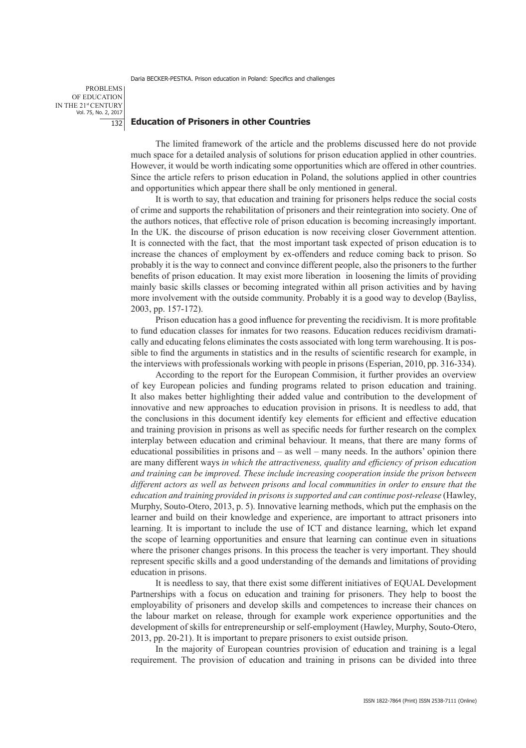PROBLEMS OF EDUCATION IN THE 21st CENTURY Vol. 75, No. 2, 2017 132

### **Education of Prisoners in other Countries**

The limited framework of the article and the problems discussed here do not provide much space for a detailed analysis of solutions for prison education applied in other countries. However, it would be worth indicating some opportunities which are offered in other countries. Since the article refers to prison education in Poland, the solutions applied in other countries and opportunities which appear there shall be only mentioned in general.

It is worth to say, that education and training for prisoners helps reduce the social costs of crime and supports the rehabilitation of prisoners and their reintegration into society. One of the authors notices, that effective role of prison education is becoming increasingly important. In the UK. the discourse of prison education is now receiving closer Government attention. It is connected with the fact, that the most important task expected of prison education is to increase the chances of employment by ex-offenders and reduce coming back to prison. So probably it is the way to connect and convince different people, also the prisoners to the further benefits of prison education. It may exist more liberation in loosening the limits of providing mainly basic skills classes or becoming integrated within all prison activities and by having more involvement with the outside community. Probably it is a good way to develop (Bayliss, 2003, pp. 157-172).

Prison education has a good influence for preventing the recidivism. It is more profitable to fund education classes for inmates for two reasons. Education reduces recidivism dramatically and educating felons eliminates the costs associated with long term warehousing. It is possible to find the arguments in statistics and in the results of scientific research for example, in the interviews with professionals working with people in prisons (Esperian, 2010, pp. 316-334).

According to the report for the European Commision, it further provides an overview of key European policies and funding programs related to prison education and training. It also makes better highlighting their added value and contribution to the development of innovative and new approaches to education provision in prisons. It is needless to add, that the conclusions in this document identify key elements for efficient and effective education and training provision in prisons as well as specific needs for further research on the complex interplay between education and criminal behaviour. It means, that there are many forms of educational possibilities in prisons and – as well – many needs. In the authors' opinion there are many different ways *in which the attractiveness, quality and efficiency of prison education and training can be improved. These include increasing cooperation inside the prison between different actors as well as between prisons and local communities in order to ensure that the education and training provided in prisons is supported and can continue post-release* (Hawley, Murphy, Souto-Otero, 2013, p. 5). Innovative learning methods, which put the emphasis on the learner and build on their knowledge and experience, are important to attract prisoners into learning. It is important to include the use of ICT and distance learning, which let expand the scope of learning opportunities and ensure that learning can continue even in situations where the prisoner changes prisons. In this process the teacher is very important. They should represent specific skills and a good understanding of the demands and limitations of providing education in prisons.

It is needless to say, that there exist some different initiatives of EQUAL Development Partnerships with a focus on education and training for prisoners. They help to boost the employability of prisoners and develop skills and competences to increase their chances on the labour market on release, through for example work experience opportunities and the development of skills for entrepreneurship or self-employment (Hawley, Murphy, Souto-Otero, 2013, pp. 20-21). It is important to prepare prisoners to exist outside prison.

In the majority of European countries provision of education and training is a legal requirement. The provision of education and training in prisons can be divided into three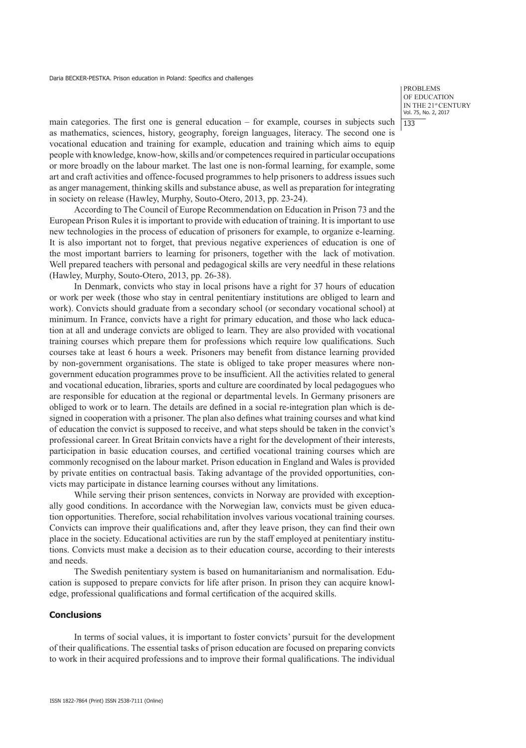main categories. The first one is general education – for example, courses in subjects such as mathematics, sciences, history, geography, foreign languages, literacy. The second one is vocational education and training for example, education and training which aims to equip people with knowledge, know-how, skills and/or competences required in particular occupations or more broadly on the labour market. The last one is non-formal learning, for example, some art and craft activities and offence-focused programmes to help prisoners to address issues such as anger management, thinking skills and substance abuse, as well as preparation for integrating in society on release (Hawley, Murphy, Souto-Otero, 2013, pp. 23-24).

According to The Council of Europe Recommendation on Education in Prison 73 and the European Prison Rules it is important to provide with education of training. It is important to use new technologies in the process of education of prisoners for example, to organize e-learning. It is also important not to forget, that previous negative experiences of education is one of the most important barriers to learning for prisoners, together with the lack of motivation. Well prepared teachers with personal and pedagogical skills are very needful in these relations (Hawley, Murphy, Souto-Otero, 2013, pp. 26-38).

In Denmark, convicts who stay in local prisons have a right for 37 hours of education or work per week (those who stay in central penitentiary institutions are obliged to learn and work). Convicts should graduate from a secondary school (or secondary vocational school) at minimum. In France, convicts have a right for primary education, and those who lack education at all and underage convicts are obliged to learn. They are also provided with vocational training courses which prepare them for professions which require low qualifications. Such courses take at least 6 hours a week. Prisoners may benefit from distance learning provided by non-government organisations. The state is obliged to take proper measures where nongovernment education programmes prove to be insufficient. All the activities related to general and vocational education, libraries, sports and culture are coordinated by local pedagogues who are responsible for education at the regional or departmental levels. In Germany prisoners are obliged to work or to learn. The details are defined in a social re-integration plan which is designed in cooperation with a prisoner. The plan also defines what training courses and what kind of education the convict is supposed to receive, and what steps should be taken in the convict's professional career. In Great Britain convicts have a right for the development of their interests, participation in basic education courses, and certified vocational training courses which are commonly recognised on the labour market. Prison education in England and Wales is provided by private entities on contractual basis. Taking advantage of the provided opportunities, convicts may participate in distance learning courses without any limitations.

While serving their prison sentences, convicts in Norway are provided with exceptionally good conditions. In accordance with the Norwegian law, convicts must be given education opportunities. Therefore, social rehabilitation involves various vocational training courses. Convicts can improve their qualifications and, after they leave prison, they can find their own place in the society. Educational activities are run by the staff employed at penitentiary institutions. Convicts must make a decision as to their education course, according to their interests and needs.

The Swedish penitentiary system is based on humanitarianism and normalisation. Education is supposed to prepare convicts for life after prison. In prison they can acquire knowledge, professional qualifications and formal certification of the acquired skills.

## **Conclusions**

In terms of social values, it is important to foster convicts' pursuit for the development of their qualifications. The essential tasks of prison education are focused on preparing convicts to work in their acquired professions and to improve their formal qualifications. The individual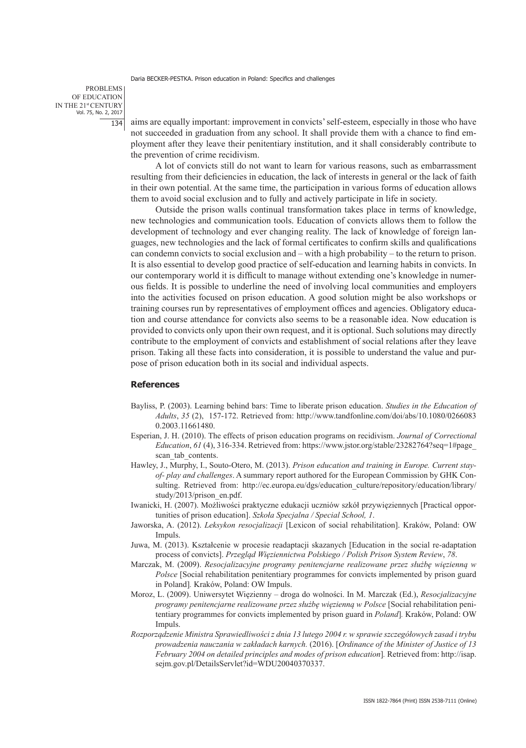PROBLEMS OF EDUCATION IN THE 21st CENTURY Vol. 75, No. 2, 2017 134

aims are equally important: improvement in convicts' self-esteem, especially in those who have not succeeded in graduation from any school. It shall provide them with a chance to find employment after they leave their penitentiary institution, and it shall considerably contribute to the prevention of crime recidivism.

A lot of convicts still do not want to learn for various reasons, such as embarrassment resulting from their deficiencies in education, the lack of interests in general or the lack of faith in their own potential. At the same time, the participation in various forms of education allows them to avoid social exclusion and to fully and actively participate in life in society.

Outside the prison walls continual transformation takes place in terms of knowledge, new technologies and communication tools. Education of convicts allows them to follow the development of technology and ever changing reality. The lack of knowledge of foreign languages, new technologies and the lack of formal certificates to confirm skills and qualifications can condemn convicts to social exclusion and – with a high probability – to the return to prison. It is also essential to develop good practice of self-education and learning habits in convicts. In our contemporary world it is difficult to manage without extending one's knowledge in numerous fields. It is possible to underline the need of involving local communities and employers into the activities focused on prison education. A good solution might be also workshops or training courses run by representatives of employment offices and agencies. Obligatory education and course attendance for convicts also seems to be a reasonable idea. Now education is provided to convicts only upon their own request, and it is optional. Such solutions may directly contribute to the employment of convicts and establishment of social relations after they leave prison. Taking all these facts into consideration, it is possible to understand the value and purpose of prison education both in its social and individual aspects.

#### **References**

- Bayliss, P. (2003). Learning behind bars: Time to liberate prison education. *Studies in the Education of Adults*, *35* (2), 157-172. Retrieved from: http://www.tandfonline.com/doi/abs/10.1080/0266083 0.2003.11661480.
- Esperian, J. H. (2010). The effects of prison education programs on recidivism. *Journal of Correctional Education*, *61* (4), 316-334. Retrieved from: https://www.jstor.org/stable/23282764?seq=1#page\_ scan tab contents.
- Hawley, J., Murphy, I., Souto-Otero, M. (2013). *Prison education and training in Europe. Current stayof- play and challenges*. A summary report authored for the European Commission by GHK Consulting. Retrieved from: http://ec.europa.eu/dgs/education culture/repository/education/library/ study/2013/prison\_en.pdf.
- Iwanicki, H. (2007). Możliwości praktyczne edukacji uczniów szkół przywięziennych [Practical opportunities of prison education]. *Szkoła Specjalna / Special School, 1*.
- Jaworska, A. (2012). *Leksykon resocjalizacji* [Lexicon of social rehabilitation]. Kraków, Poland: OW Impuls.
- Juwa, M. (2013). Kształcenie w procesie readaptacji skazanych [Education in the social re-adaptation process of convicts]. *Przegląd Więziennictwa Polskiego / Polish Prison System Review*, *78*.
- Marczak, M. (2009). *Resocjalizacyjne programy penitencjarne realizowane przez służbę więzienną w Polsce* [Social rehabilitation penitentiary programmes for convicts implemented by prison guard in Poland]*.* Kraków, Poland: OW Impuls.
- Moroz, L. (2009). Uniwersytet Więzienny droga do wolności. In M. Marczak (Ed.), *Resocjalizacyjne programy penitencjarne realizowane przez służbę więzienną w Polsce* [Social rehabilitation penitentiary programmes for convicts implemented by prison guard in *Poland*]*.* Kraków, Poland: OW Impuls.
- *Rozporządzenie Ministra Sprawiedliwości z dnia 13 lutego 2004 r. w sprawie szczegółowych zasad i trybu prowadzenia nauczania w zakładach karnych.* (2016). [*Ordinance of the Minister of Justice of 13 February 2004 on detailed principles and modes of prison education*]*.* Retrieved from: http://isap. sejm.gov.pl/DetailsServlet?id=WDU20040370337.